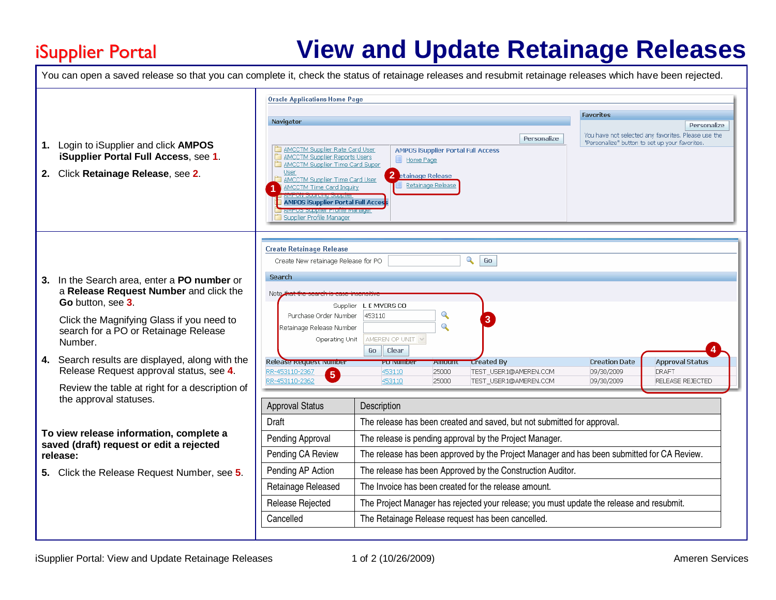## iSupplier Portal

## **View and Update Retainage Releases**

|                                                                                                 | <b>Oracle Applications Home Page</b>                              |                                                                                            |                                           |                       |                      |                                                     |
|-------------------------------------------------------------------------------------------------|-------------------------------------------------------------------|--------------------------------------------------------------------------------------------|-------------------------------------------|-----------------------|----------------------|-----------------------------------------------------|
|                                                                                                 |                                                                   |                                                                                            |                                           | <b>Favorites</b>      |                      |                                                     |
|                                                                                                 | Navigator                                                         |                                                                                            |                                           |                       |                      | Personalize                                         |
|                                                                                                 |                                                                   |                                                                                            |                                           | Personalize           |                      | You have not selected any favorites. Please use the |
| Login to iSupplier and click AMPOS<br>1.                                                        | AMCCTM Supplier Rate Card User                                    |                                                                                            | <b>AMPOS iSupplier Portal Full Access</b> |                       |                      | "Personalize" button to set up your favorites.      |
| iSupplier Portal Full Access, see 1.                                                            | AMCCTM Supplier Reports Users                                     | Home Page                                                                                  |                                           |                       |                      |                                                     |
| 2. Click Retainage Release, see 2.                                                              | AMCCTM Supplier Time Card Super<br>User                           | 2 etainage Release                                                                         |                                           |                       |                      |                                                     |
|                                                                                                 | AMCCTM Supplier Time Card User<br><b>AMCCTM Time Card Inquiry</b> |                                                                                            | Retainage Release                         |                       |                      |                                                     |
|                                                                                                 |                                                                   |                                                                                            |                                           |                       |                      |                                                     |
|                                                                                                 | <b>AMPOS iSupplier Portal Full Acces</b>                          |                                                                                            |                                           |                       |                      |                                                     |
|                                                                                                 | Supplier Profile Manager                                          |                                                                                            |                                           |                       |                      |                                                     |
|                                                                                                 |                                                                   |                                                                                            |                                           |                       |                      |                                                     |
|                                                                                                 |                                                                   |                                                                                            |                                           |                       |                      |                                                     |
|                                                                                                 | <b>Create Retainage Release</b>                                   |                                                                                            |                                           |                       |                      |                                                     |
|                                                                                                 | $\mathbf{Q}$<br>Go<br>Create New retainage Release for PO         |                                                                                            |                                           |                       |                      |                                                     |
| In the Search area, enter a PO number or                                                        | <b>Search</b>                                                     |                                                                                            |                                           |                       |                      |                                                     |
| 3.<br>a Release Request Number and click the                                                    |                                                                   |                                                                                            |                                           |                       |                      |                                                     |
| Go button, see 3.                                                                               | Note                                                              |                                                                                            |                                           |                       |                      |                                                     |
|                                                                                                 | Supplier                                                          | L E MYERS CO                                                                               | $\mathbf{\Omega}$                         |                       |                      |                                                     |
| Click the Magnifying Glass if you need to                                                       | Purchase Order Number                                             | 453110                                                                                     | $\overline{\mathcal{L}}$                  |                       |                      |                                                     |
| search for a PO or Retainage Release                                                            | Retainage Release Number                                          | AMEREN OP UNIT V                                                                           |                                           |                       |                      |                                                     |
| Number.                                                                                         | Operating Unit                                                    | Go   Clear                                                                                 |                                           |                       |                      |                                                     |
| Search results are displayed, along with the<br>4.<br>Release Request approval status, see 4.   | Release Request Number                                            | PU Numbe                                                                                   | Amoun                                     | <b>Created By</b>     | <b>Creation Date</b> | <b>Approval Status</b>                              |
|                                                                                                 | RR-453110-2367                                                    | 453110                                                                                     | 25000                                     | TEST_USER1@AMEREN.COM | 09/30/2009           | <b>DRAFT</b>                                        |
|                                                                                                 | 5<br>RR-453110-2362                                               | 453110                                                                                     | 25000                                     | TEST_USER1@AMEREN.COM | 09/30/2009           | <b>RELEASE REJECTED</b>                             |
| Review the table at right for a description of                                                  |                                                                   |                                                                                            |                                           |                       |                      |                                                     |
| the approval statuses.                                                                          | <b>Approval Status</b>                                            | Description                                                                                |                                           |                       |                      |                                                     |
|                                                                                                 | Draft                                                             | The release has been created and saved, but not submitted for approval.                    |                                           |                       |                      |                                                     |
| To view release information, complete a<br>saved (draft) request or edit a rejected<br>release: | Pending Approval                                                  | The release is pending approval by the Project Manager.                                    |                                           |                       |                      |                                                     |
|                                                                                                 | Pending CA Review                                                 | The release has been approved by the Project Manager and has been submitted for CA Review. |                                           |                       |                      |                                                     |
| 5. Click the Release Request Number, see 5.                                                     | Pending AP Action                                                 | The release has been Approved by the Construction Auditor.                                 |                                           |                       |                      |                                                     |
|                                                                                                 | Retainage Released                                                | The Invoice has been created for the release amount.                                       |                                           |                       |                      |                                                     |
|                                                                                                 |                                                                   | The Project Manager has rejected your release; you must update the release and resubmit.   |                                           |                       |                      |                                                     |
|                                                                                                 | Release Rejected                                                  |                                                                                            |                                           |                       |                      |                                                     |